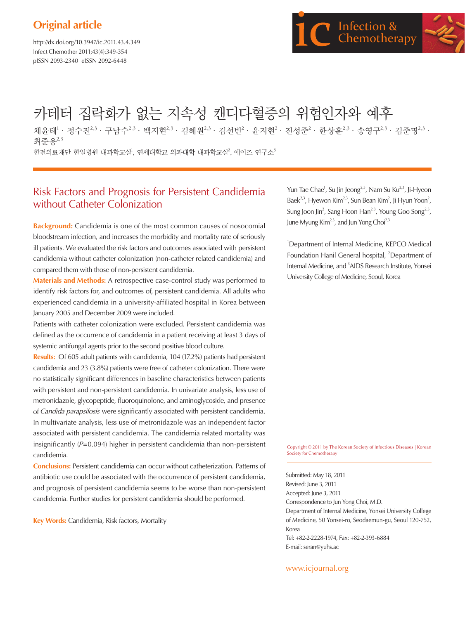# **Original article**

http://dx.doi.org/10.3947/ic.2011.43.4.349 Infect Chemother 2011;43(4):349-354 pISSN 2093-2340 eISSN 2092-6448



# 카테터 집락화가 없는 지속성 캔디다혈증의 위험인자와 예후

채윤태<sup>1 .</sup> 정수진<sup>2,3 .</sup> 구남수<sup>2,3</sup> · 백지현<sup>2,3</sup> · 김혜원<sup>2,3</sup> · 김선빈<sup>2</sup> · 윤지현<sup>2</sup> · 진성준<sup>2</sup> · 한상훈<sup>2,3</sup> · 송영구<sup>2,3</sup> · 김준명<sup>2,3</sup> · 최주용2,3 한전의료재단 한일병원 내과학교실<sup>1</sup>, 연세대학교 의과대학 내과학교실<sup>2</sup>, 에이즈 연구소<sup>3</sup>

# Risk Factors and Prognosis for Persistent Candidemia without Catheter Colonization

**Background:** Candidemia is one of the most common causes of nosocomial bloodstream infection, and increases the morbidity and mortality rate of seriously ill patients. We evaluated the risk factors and outcomes associated with persistent candidemia without catheter colonization (non-catheter related candidemia) and compared them with those of non-persistent candidemia.

**Materials and Methods:** A retrospective case-control study was performed to identify risk factors for, and outcomes of, persistent candidemia. All adults who experienced candidemia in a university-affiliated hospital in Korea between January 2005 and December 2009 were included.

Patients with catheter colonization were excluded. Persistent candidemia was defined as the occurrence of candidemia in a patient receiving at least 3 days of systemic antifungal agents prior to the second positive blood culture.

**Results:** Of 605 adult patients with candidemia, 104 (17.2%) patients had persistent candidemia and 23 (3.8%) patients were free of catheter colonization. There were no statistically significant differences in baseline characteristics between patients with persistent and non-persistent candidemia. In univariate analysis, less use of metronidazole, glycopeptide, fluoroquinolone, and aminoglycoside, and presence of Candida parapsilosis were significantly associated with persistent candidemia. In multivariate analysis, less use of metronidazole was an independent factor associated with persistent candidemia. The candidemia related mortality was insignificantly  $(P=0.094)$  higher in persistent candidemia than non-persistent candidemia.

**Conclusions:** Persistent candidemia can occur without catheterization. Patterns of antibiotic use could be associated with the occurrence of persistent candidemia, and prognosis of persistent candidemia seems to be worse than non-persistent candidemia. Further studies for persistent candidemia should be performed.

**Key Words:** Candidemia, Risk factors, Mortality

Yun Tae Chae<sup>1</sup>, Su Jin Jeong<sup>2,3</sup>, Nam Su Ku<sup>2,3</sup>, Ji-Hyeon Baek<sup>2,3</sup>, Hyewon Kim<sup>2,3</sup>, Sun Bean Kim<sup>2</sup>, Ji Hyun Yoon<sup>2</sup>, Sung Joon Jin<sup>2</sup>, Sang Hoon Han<sup>2,3</sup>, Young Goo Song<sup>2,3</sup>, June Myung Kim<sup>2,3</sup>, and Jun Yong Choi<sup>2,3</sup>

<sup>1</sup>Department of Internal Medicine, KEPCO Medical Foundation Hanil General hospital, <sup>2</sup>Department of Internal Medicine, and 3 AIDS Research Institute, Yonsei University College of Medicine, Seoul, Korea

Copyright © 2011 by The Korean Society of Infectious Diseases | Korean Society for Chemotherapy

Submitted: May 18, 2011 Revised: June 3, 2011 Accepted: June 3, 2011 Correspondence to Jun Yong Choi, M.D. Department of Internal Medicine, Yonsei University College of Medicine, 50 Yonsei-ro, Seodaemun-gu, Seoul 120-752, Korea Tel: +82-2-2228-1974, Fax: +82-2-393-6884 E-mail: seran@yuhs.ac

www.icjournal.org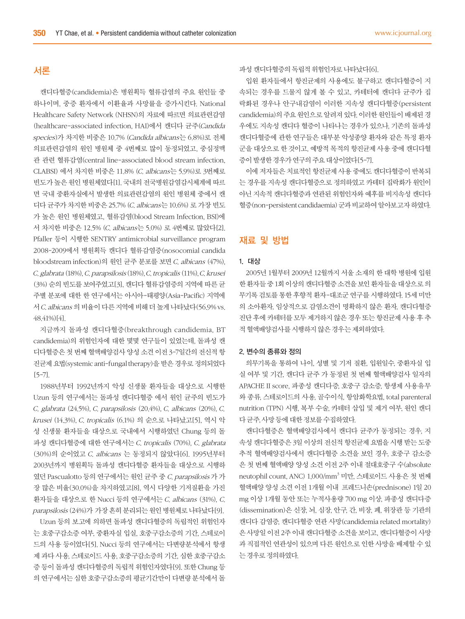# 서론

캔디다혈증(candidemia)은 병원획득 혈류감염의 주요 원인들 중 하나이며, 중증 환자에서 이환율과 사망률을 증가시킨다. National Healthcare Safety Network (NHSN)의 자료에 따르면 의료관련감염 (healthcare-associated infection, HAI)에서 캔디다 균주(Candida species)가 차지한 비중은 10.7% (Candida albicans는 6.8%)로 전체 의료관련감염의 원인 병원체 중 4번째로 많이 동정되었고, 중심정맥 관 관련 혈류감염(central line-associated blood stream infection, CLABSI) 에서 차지한 비중은 11.8% (C. albicans는 5.9%)로 3번째로 빈도가 높은 원인 병원체였다[1]. 국내의 전국병원감염감시체계에 따르 면 국내 중환자실에서 발생한 의료관련감염의 원인 병원체 중에서 캔 디다 균주가 차지한 비중은 25.7% (C. albicans는 10.6%) 로 가장 빈도 가 높은 원인 병원체였고, 혈류감염(blood Stream Infection, BSI)에 서 차지한 비중은 12.5% (C. albicans는 5.0%) 로 4번째로 많았다[2]. Pfaller 등이 시행한 SENTRY antimicrobial surveillance program 2008-2009에서 병원획득 캔디다 혈류감염증(nosocomial candida bloodstream infection)의 원인 균주 분포를 보면 C. albicans (47%), C. glabrata (18%), C. parapsilosis (18%), C. tropicalis (11%), C. krusei (3%) 순의 빈도를 보여주었고[3], 캔디다 혈류감염증의 지역에 따른 균 주별 분포에 대한 한 연구에서는 아시아-태평양(Asia-Pacific) 지역에 서 C. albicans 의 비율이 다른 지역에 비해 더 높게 나타났다(56.9% vs. 48.41%)[4].

지금까지 돌파성 캔디다혈증(breakthrough candidemia, BT candidemia)의 위험인자에 대한 몇몇 연구들이 있었는데, 돌파성 캔 디다혈증은 첫 번째 혈액배양검사 양성 소견 이전 3-7일간의 전신적 항 진균제 요법(systemic anti-fungal therapy)을 받은 경우로 정의되었다 [5-7].

1988년부터 1992년까지 악성 신생물 환자들을 대상으로 시행한 Uzun 등의 연구에서는 돌파성 캔디다혈증 에서 원인 균주의 빈도가 C. glabrata (24.5%), C. parapsilosis (20.4%), C. albicans (20%), C. krusei (14.3%), C. tropicalis (6.1%) 의 순으로 나타났고[5], 역시 악 성 신생물 환자들을 대상으로 국내에서 시행하였던 Chung 등의 돌 파성 캔디다혈증에 대한 연구에서는 C. tropicalis (70%), C. glabrata (30%)의 순이었고 C. albicans 는 동정되지 않았다[6]. 1995년부터 2003년까지 병원획득 돌파성 캔디다혈증 환자들을 대상으로 시행하 였던 Pascualotto 등의 연구에서는 원인 균주 중 C. parapsilosis 가 가 장 많은 비율(30.0%)을 차지하였고[8], 역시 다양한 기저질환을 가진 환자들을 대상으로 한 Nucci 등의 연구에서는 C. albicans (31%), C. parapsilosis (24%)가 가장 흔히 분리되는 원인 병원체로 나타났다[9].

Uzun 등의 보고에 의하면 돌파성 캔디다혈증의 독립적인 위험인자 는 호중구감소증 여부, 중환자실 입실, 호중구감소증의 기간, 스테로이 드의 사용 등이었다[5]. Nucci 등의 연구에서는 다변량분석에서 항생 제 과다 사용, 스테로이드 사용, 호중구감소증의 기간, 심한 호중구감소 증 등이 돌파성 캔디다혈증의 독립적 위험인자였다[9]. 또한 Chung 등 의 연구에서는 심한 호중구감소증의 평균기간만이 다변량 분석에서 돌

파성 캔디다혈증의 독립적 위험인자로 나타났다[6].

입원 환자들에서 항진균제의 사용에도 불구하고 캔디다혈증이 지 속되는 경우를 드물지 않게 볼 수 있고, 카테터에 캔디다 균주가 집 락화된 경우나 안구내감염이 이러한 지속성 캔디다혈증(persistent candidemia)의 주요 원인으로 알려져 있다. 이러한 원인들이 배제된 경 우에도 지속성 캔디다 혈증이 나타나는 경우가 있으나, 기존의 돌파성 캔디다혈증에 관한 연구들은 대부분 악성종양 환자와 같은 특정 환자 군을 대상으로 한 것이고, 예방적 목적의 항진균제 사용 중에 캔디다혈 증이 발생한 경우가 연구의 주요 대상이었다[5-7].

이에 저자들은 치료적인 항진균제 사용 중에도 캔디다혈증이 반복되 는 경우를 지속성 캔디다혈증으로 정의하였고 카테터 집락화가 원인이 아닌 지속적 캔디다혈증과 연관된 위험인자와 예후를 비지속성 캔디다 혈증(non-persistent candidaemia) 군과 비교하여 알아보고자 하였다.

## 재료 및 방법

#### 1. 대상

2005년 1월부터 2009년 12월까지 서울 소재의 한 대학 병원에 입원 한 환자들 중 1회 이상의 캔디다혈증 소견을 보인 환자들을 대상으로 의 무기록 검토를 통한 후향적 환자-대조군 연구를 시행하였다. 15세 미만 의 소아환자, 임상적으로 감염소견이 명확하지 않은 환자, 캔디다혈증 진단 후에 카테터를 모두 제거하지 않은 경우 또는 항진균제 사용 후 추 적 혈액배양검사를 시행하지 않은 경우는 제외하였다.

#### 2. 변수의 종류와 정의

의무기록을 통하여 나이, 성별 및 기저 질환, 입원일수, 중환자실 입 실 여부 및 기간, 캔디다 균주 가 동정된 첫 번째 혈액배양검사 일자의 APACHE II score, 파종성 캔디다증, 호중구 감소증, 항생제 사용유무 와 종류, 스테로이드의 사용, 골수이식, 항암화학요법, total parenteral nutrition (TPN) 시행, 복부 수술, 카테터 삽입 및 제거 여부, 원인 캔디 다 균주, 사망 등에 대한 정보를 수집하였다.

캔디다혈증은 혈액배양검사에서 캔디다 균주가 동정되는 경우, 지 속성 캔디다혈증은 3일 이상의 전신적 항진균제 요법을 시행 받는 도중 추적 혈액배양검사에서 캔디다혈증 소견을 보인 경우, 호중구 감소증 은 첫 번째 혈액배양 양성 소견 이전 2주 이내 절대호중구 수(absolute neutophil count, ANC) 1,000/mm3 미만, 스테로이드 사용은 첫 번째 혈액배양 양성 소견 이전 1개월 이내 프레드니손(prednisone) 1일 20 mg 이상 1개월 동안 또는 누적사용량 700 mg 이상, 파종성 캔디다증 (dissemination)은 신장, 뇌, 심장, 안구, 간, 비장, 폐, 위장관 등 기관의 캔디다 감염증, 캔디다혈증 연관 사망(candidemia related mortality) 은 사망일 이전 2주 이내 캔디다혈증 소견을 보이고, 캔디다혈증이 사망 과 직접적인 연관성이 있으며 다른 원인으로 인한 사망을 배제할 수 있 는 경우로 정의하였다.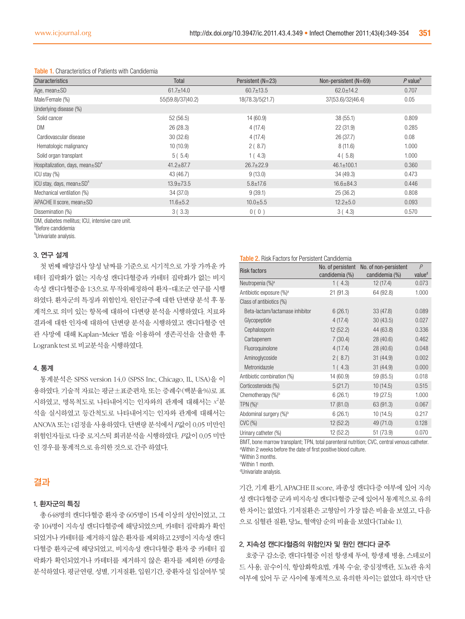| Characteristics                            | Total             | Persistent (N=23) | Non-persistent $(N=69)$ | $P$ value <sup>b</sup> |
|--------------------------------------------|-------------------|-------------------|-------------------------|------------------------|
| Age, mean $\pm$ SD                         | $61.7 \pm 14.0$   | $60.7 \pm 13.5$   | $62.0 \pm 14.2$         | 0.707                  |
| Male/Female (%)                            | 55(59.8)/37(40.2) | 18(78.3)/5(21.7)  | 37(53.6)/32(46.4)       | 0.05                   |
| Underlying disease (%)                     |                   |                   |                         |                        |
| Solid cancer                               | 52(56.5)          | 14(60.9)          | 38(55.1)                | 0.809                  |
| DM                                         | 26(28.3)          | 4(17.4)           | 22(31.9)                | 0.285                  |
| Cardiovascular disease                     | 30(32.6)          | 4(17.4)           | 26 (37.7)               | 0.08                   |
| Hematologic malignancy                     | 10(10.9)          | 2(8.7)            | 8(11.6)                 | 1.000                  |
| Solid organ transplant                     | 5(5.4)            | 1(4.3)            | 4(5.8)                  | 1.000                  |
| Hospitalization, days, mean $\pm SD^a$     | $41.2 \pm 87.7$   | $26.7 \pm 22.9$   | $46.1 \pm 100.1$        | 0.360                  |
| $ICU$ stay $(\%)$                          | 43 (46.7)         | 9(13.0)           | 34(49.3)                | 0.473                  |
| ICU stay, days, mean $\pm$ SD <sup>a</sup> | $13.9 \pm 73.5$   | $5.8 \pm 17.6$    | $16.6 \pm 84.3$         | 0.446                  |
| Mechanical ventilation (%)                 | 34 (37.0)         | 9(39.1)           | 25(36.2)                | 0.808                  |
| APACHE II score, mean±SD                   | $11.6 \pm 5.2$    | $10.0 \pm 5.5$    | $12.2 \pm 5.0$          | 0.093                  |
| Dissemination (%)                          | 3(3.3)            | 0(0)              | 3(4.3)                  | 0.570                  |

#### Table 1. Characteristics of Patients with Candidemia

DM, diabetes mellitus; ICU, intensive care unit.

a Before candidemia .

<sup>b</sup>Univariate analysis.

#### 3. 연구 설계

첫 번째 배양검사 양성 날짜를 기준으로 시기적으로 가장 가까운 카 테터 집락화가 없는 지속성 캔디다혈증과 카테터 집락화가 없는 비지 속성 캔디다혈증을 1:3으로 무작위배정하여 환자-대조군 연구를 시행 하였다. 환자군의 특징과 위험인자, 원인균주에 대한 단변량 분석 후 통 계적으로 의미 있는 항목에 대하여 다변량 분석을 시행하였다. 치료와 결과에 대한 인자에 대하여 단변량 분석을 시행하였고 캔디다혈증 연 관 사망에 대해 Kaplan-Meier 법을 이용하여 생존곡선을 산출한 후 Logrank test 로 비교분석을 시행하였다.

#### 4. 통계

통계분석은 SPSS version 14.0 (SPSS Inc, Chicago, IL, USA)을 이 용하였다. 기술적 자료는 평균±표준편차, 또는 증례수(백분율%)로 표 시하였고, 명목척도로 나타내어지는 인자와의 관계에 대해서는  $x^2$ 분 석을 실시하였고 등간척도로 나타내어지는 인자와 관계에 대해서는 ANOVA 또는 t검정을 사용하였다. 단변량 분석에서 P값이 0.05 미만인 위험인자들로 다중 로지스틱 회귀분석을 시행하였다. P값이 0.05 미만 인 경우를 통계적으로 유의한 것으로 간주 하였다.

## 결과

#### 1. 환자군의 특징

총 648명의 캔디다혈증 환자 중 605명이 15세 이상의 성인이었고, 그 중 104명이 지속성 캔디다혈증에 해당되었으며, 카테터 집락화가 확인 되었거나 카테터를 제거하지 않은 환자를 제외하고 23명이 지속성 캔디 다혈증 환자군에 해당되었고, 비지속성 캔디다혈증 환자 중 카테터 집 락화가 확인되었거나 카테터를 제거하지 않은 환자를 제외한 69명을 분석하였다. 평균연령, 성별, 기저질환, 입원기간, 중환자실 입실여부 및

#### Table 2. Risk Factors for Persistent Candidemia

| <b>Risk factors</b>                  | No. of persistent<br>candidemia (%) | No. of non-persistent<br>candidemia (%) | P<br>value <sup>d</sup> |
|--------------------------------------|-------------------------------------|-----------------------------------------|-------------------------|
| Neutropenia (%) <sup>a</sup>         | 1(4.3)                              | 12 (17.4)                               | 0.073                   |
| Antibiotic exposure (%) <sup>a</sup> | 21(91.3)                            | 64 (92.8)                               | 1.000                   |
| Class of antibiotics (%)             |                                     |                                         |                         |
| Beta-lactam/lactamase inhibitor      | 6(26.1)                             | 33(47.8)                                | 0.089                   |
| Glycopeptide                         | 4(17.4)                             | 30(43.5)                                | 0.027                   |
| Cephalosporin                        | 12(52.2)                            | 44 (63.8)                               | 0.336                   |
| Carbapenem                           | 7(30.4)                             | 28 (40.6)                               | 0.462                   |
| Fluoroquinolone                      | 4(17.4)                             | 28 (40.6)                               | 0.048                   |
| Aminoglycoside                       | 2(8.7)                              | 31(44.9)                                | 0.002                   |
| Metronidazole                        | 1(4.3)                              | 31(44.9)                                | 0.000                   |
| Antibiotic combination (%)           | 14 (60.9)                           | 59 (85.5)                               | 0.018                   |
| Corticosteroids (%)                  | 5(21.7)                             | 10(14.5)                                | 0.515                   |
| Chemotherapy (%) <sup>b</sup>        | 6(26.1)                             | 19 (27.5)                               | 1.000                   |
| $TPN$ (%) <sup>c</sup>               | 17(81.0)                            | 63 (91.3)                               | 0.067                   |
| Abdominal surgery (%) <sup>b</sup>   | 6(26.1)                             | 10(14.5)                                | 0.217                   |
| $CVC$ $(\%)$                         | 12(52.2)                            | 49 (71.0)                               | 0.128                   |
| Urinary catheter (%)                 | 12 (52.2)                           | 51 (73.9)                               | 0.070                   |

BMT, bone marrow transplant; TPN, total parenteral nutrition; CVC, central venous catheter. a Within 2 weeks before the date of first positive blood culture. b Within 3 months.

c Within 1 month.

d Univariate analysis.

기간, 기계 환기, APACHE II score, 파종성 캔디다증 여부에 있어 지속 성 캔디다혈증 군과 비지속성 캔디다혈증 군에 있어서 통계적으로 유의 한 차이는 없었다. 기저질환은 고형암이 가장 많은 비율을 보였고, 다음 으로 심혈관 질환, 당뇨, 혈액암 순의 비율을 보였다(Table 1).

#### 2. 지속성 캔디다혈증의 위험인자 및 원인 캔디다 균주

호중구 감소증, 캔디다혈증 이전 항생제 투여, 항생제 병용, 스테로이 드 사용, 골수이식, 항암화학요법, 개복 수술, 중심정맥관, 도뇨관 유치 여부에 있어 두 군 사이에 통계적으로 유의한 차이는 없었다. 하지만 단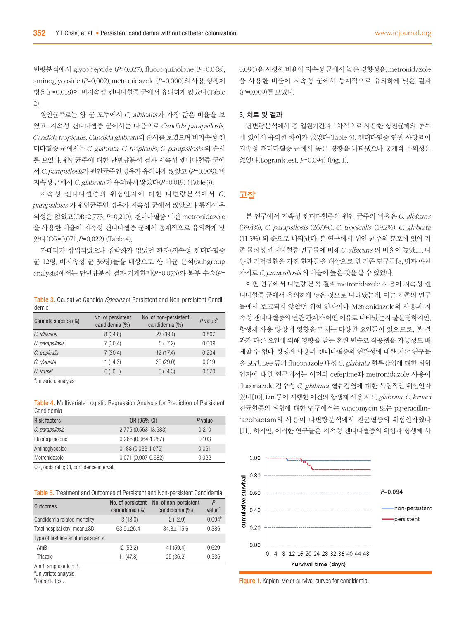변량분석에서 glycopeptide (P=0.027), fluoroquinolone (P=0.048), aminoglycoside (P=0.002), metronidazole (P=0.000)의 사용, 항생제 병용(P=0.018)이 비지속성 캔디다혈증 군에서 유의하게 많았다(Table 2).

원인균주로는 양 군 모두에서 C. albicans가 가장 많은 비율을 보 였고, 지속성 캔디다혈증 군에서는 다음으로 Candida parapsilosis, Candida tropicalis, Candida glabrata의 순서를 보였으며 비지속성 캔 디다혈증 군에서는 C. glabrata, C. tropicalis, C. parapsilosis 의 순서 를 보였다. 원인균주에 대한 단변량분석 결과 지속성 캔디다혈증 군에 서 C. parapsilosis가 원인균주인 경우가 유의하게 많았고 (P=0.009), 비 지속성 군에서 C. glabrata 가 유의하게 많았다(P=0.019) (Table 3).

지속성 캔디다혈증의 위험인자에 대한 다변량분석에서 C. parapsilosis 가 원인균주인 경우가 지속성 군에서 많았으나 통계적 유 의성은 없었고(OR=2.775, P=0.210), 캔디다혈증 이전 metronidazole 을 사용한 비율이 지속성 캔디다혈증 군에서 통계적으로 유의하게 낮 았다(OR=0.071, P=0.022) (Table 4).

카테터가 삽입되었으나 집락화가 없었던 환자(지속성 캔디다혈증 군 12명, 비지속성 군 36명)들을 대상으로 한 아군 분석(subgroup analysis)에서는 단변량분석 결과 기계환기(P=0.073)와 복부 수술(P=

Table 3. Causative Candida Species of Persistent and Non-persistent Candidemic

| Candida species (%) | No. of persistent<br>candidemia (%) | No. of non-persistent<br>candidemia (%) | $P$ value <sup>a</sup> |
|---------------------|-------------------------------------|-----------------------------------------|------------------------|
| C. albicans         | 8(34.8)                             | 27(39.1)                                | 0.807                  |
| C. parapsilosis     | 7(30.4)                             | 5(7.2)                                  | 0.009                  |
| C. tropicalis       | 7(30.4)                             | 12(17.4)                                | 0.234                  |
| C. glablata         | 1(4.3)                              | 20(29.0)                                | 0.019                  |
| C. krusei           | 0()                                 | 3(4.3)                                  | 0.570                  |
|                     |                                     |                                         |                        |

a Univariate analysis.

Table 4. Multivariate Logistic Regression Analysis for Prediction of Persistent Candidemia

| Risk factors    | OR (95% CI)            | $P$ value |
|-----------------|------------------------|-----------|
| C. parapsilosis | 2.775 (0.563-13.683)   | 0.210     |
| Fluoroquinolone | $0.286(0.064 - 1.287)$ | 0.103     |
| Aminoglycoside  | $0.188(0.033 - 1.079)$ | 0.061     |
| Metronidazole   | $0.071(0.007 - 0.682)$ | 0.022     |
|                 |                        |           |

OR, odds ratio; CI, confidence interval.

Table 5. Treatment and Outcomes of Persistant and Non-persistent Candidemia

| <b>Outcomes</b>                      | No. of persistent<br>candidemia (%) | No. of non-persistent<br>candidemia (%) | $\overline{P}$<br>value <sup>a</sup> |
|--------------------------------------|-------------------------------------|-----------------------------------------|--------------------------------------|
| Candidemia related mortality         | 3(13.0)                             | 2(2.9)                                  | $0.094^{b}$                          |
| Total hospital day, mean±SD          | $63.5 \pm 25.4$                     | $84.8 + 115.6$                          | 0.386                                |
| Type of first line antifungal agents |                                     |                                         |                                      |
| AmB                                  | 12 (52.2)                           | 41 (59.4)                               | 0.629                                |
| Triazole                             | 11 (47.8)                           | 25 (36.2)                               | 0.336                                |
| AmB, amphotericin B.                 |                                     |                                         |                                      |

<sup>&</sup>lt;sup>a</sup>Univariate analysis.

<sup>b</sup>Logrank Test.

0.094)을 시행한 비율이 지속성 군에서 높은 경향성을, metronidazole 을 사용한 비율이 지속성 군에서 통계적으로 유의하게 낮은 결과 (P=0.009)를 보였다.

#### 3. 치료 및 결과

단변량분석에서 총 입원기간과 1차적으로 사용한 항진균제의 종류 에 있어서 유의한 차이가 없었다(Table 5). 캔디다혈증 연관 사망률이 지속성 캔디다혈증 군에서 높은 경향을 나타냈으나 통계적 유의성은 없었다(Logrank test, P=0.094) (Fig. 1).

### 고찰

본 연구에서 지속성 캔디다혈증의 원인 균주의 비율은  $C$ . albicans (39.4%), C. parapsilosis (26.0%), C. tropicalis (19.2%), C. glabrata (11.5%) 의 순으로 나타났다. 본 연구에서 원인 균주의 분포에 있어 기 존 돌파성 캔디다혈증 연구들에 비해 C. albicans 의 비율이 높았고, 다 양한 기저질환을 가진 환자들을 대상으로 한 기존 연구들[8, 9]과 마찬 가지로 C. parapsilosis 의 비율이 높은 것을 볼 수 있었다.

이번 연구에서 다변량 분석 결과 metronidazole 사용이 지속성 캔 디다혈증 군에서 유의하게 낮은 것으로 나타났는데, 이는 기존의 연구 들에서 보고되지 않았던 위험 인자이다. Metronidazole의 사용과 지 속성 캔디다혈증의 연관 관계가 어떤 이유로 나타났는지 불분명하지만, 항생제 사용 양상에 영향을 미치는 다양한 요인들이 있으므로, 본 결 과가 다른 요인에 의해 영향을 받는 혼란 변수로 작용했을 가능성도 배 제할 수 없다. 항생제 사용과 캔디다혈증의 연관성에 대한 기존 연구들 을 보면, Lee 등의 fluconazole 내성 C. glabrata 혈류감염에 대한 위험 인자에 대한 연구에서는 이전의 cefepime과 metronidazole 사용이 fluconazole 감수성 C. glabrata 혈류감염에 대한 독립적인 위험인자 였다[10]. Lin 등이 시행한 이전의 항생제 사용과 C. glabrata, C. krusei 진균혈증의 위험에 대한 연구에서는 vancomycin 또는 piperacillintazobactam의 사용이 다변량분석에서 진균혈증의 위험인자였다 [11]. 하지만, 이러한 연구들은 지속성 캔디다혈증의 위험과 항생제 사



Figure 1. Kaplan-Meier survival curves for candidemia.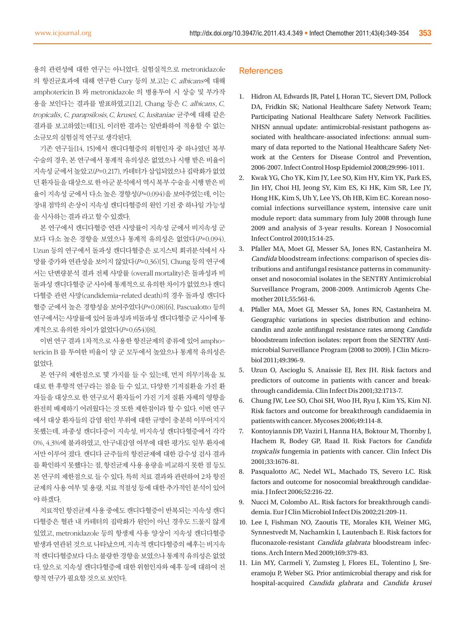용의 관련성에 대한 연구는 아니었다. 실험실적으로 metronidazole 의 항진균효과에 대해 연구한 Cury 등의 보고는 C. albicans에 대해 amphotericin B 와 metronidazole 의 병용투여 시 상승 및 부가작 용을 보인다는 결과를 발표하였고[12], Chang 등은 C. albicans, C. tropicalis, C. parapsilosis, C. krusei, C. lusitaniae 균주에 대해 같은 결과를 보고하였는데[13], 이러한 결과는 일반화하여 적용할 수 없는 소규모의 실험실적 연구로 생각된다.

기존 연구들[14, 15]에서 캔디다혈증의 위험인자 중 하나였던 복부 수술의 경우, 본 연구에서 통계적 유의성은 없었으나 시행 받은 비율이 지속성 군에서 높았고(P=0.217), 카테터가 삽입되었으나 집락화가 없었 던 환자들을 대상으로 한 아군 분석에서 역시 복부 수술을 시행 받은 비 율이 지속성 군에서 다소 높은 경향성(P=0.094)을 보여주었는데, 이는 장내 점막의 손상이 지속성 캔디다혈증의 원인 기전 중 하나일 가능성 을 시사하는 결과 라고 할 수 있겠다.

본 연구에서 캔디다혈증 연관 사망률이 지속성 군에서 비지속성 군 보다 다소 높은 경향을 보였으나 통계적 유의성은 없었다(P=0.094). Uzun 등의 연구에서 돌파성 캔디다혈증은 로지스틱 회귀분석에서 사 망률 증가와 연관성을 보이지 않았다(P=0.36)[5]. Chung 등의 연구에 서는 단변량분석 결과 전체 사망률 (overall mortality)은 돌파성과 비 돌파성 캔디다혈증 군 사이에 통계적으로 유의한 차이가 없었으나 캔디 다혈증 관련 사망(candidemia-related death)의 경우 돌파성 캔디다 혈증 군에서 높은 경향성을 보여주었다(P=0.08)[6]. Pascualotto 등의 연구에서는 사망률에 있어 돌파성과 비돌파성 캔디다혈증 군 사이에 통 계적으로 유의한 차이가 없었다(P=0.654)[8].

이번 연구 결과 1차적으로 사용한 항진균제의 종류에 있어 amphotericin B 를 투여한 비율이 양 군 모두에서 높았으나 통계적 유의성은 없었다.

본 연구의 제한점으로 몇 가지를 들 수 있는데, 먼저 의무기록을 토 대로 한 후향적 연구라는 점을 들 수 있고, 다양한 기저질환을 가진 환 자들을 대상으로 한 연구로서 환자들이 가진 기저 질환 자체의 영향을 완전히 배제하기 어려웠다는 것 또한 제한점이라 할 수 있다. 이번 연구 에서 대상 환자들의 감염 원인 부위에 대한 규명이 충분히 이루어지지 못했는데, 파종성 캔디다증이 지속성, 비지속성 캔디다혈증에서 각각 0%, 4.3%에 불과하였고, 안구내감염 여부에 대한 평가도 일부 환자에 서만 이루어 졌다. 캔디다 균주들의 항진균제에 대한 감수성 검사 결과 를 확인하지 못했다는 점, 항진균제 사용 용량을 비교하지 못한 점 등도 본 연구의 제한점으로 들 수 있다. 특히 치료 결과와 관련하여 2차 항진 균제의 사용 여부 및 용량, 치료 적절성 등에 대한 추가적인 분석이 있어 야 하겠다.

치료적인 항진균제 사용 중에도 캔디다혈증이 반복되는 지속성 캔디 다혈증은 혈관 내 카테터의 집락화가 원인이 아닌 경우도 드물지 않게 있었고, metronidazole 등의 항생제 사용 양상이 지속성 캔디다혈증 발생과 연관된 것으로 나타났으며, 지속적 캔디다혈증의 예후는 비지속 적 캔디다혈증보다 다소 불량한 경향을 보였으나 통계적 유의성은 없었 다. 앞으로 지속성 캔디다혈증에 대한 위험인자와 예후 등에 대하여 전 향적 연구가 필요할 것으로 보인다.

#### **References**

- 1. Hidron AI, Edwards JR, Patel J, Horan TC, Sievert DM, Pollock DA, Fridkin SK; National Healthcare Safety Network Team; Participating National Healthcare Safety Network Facilities. NHSN annual update: antimicrobial-resistant pathogens associated with healthcare-associated infections: annual summary of data reported to the National Healthcare Safety Network at the Centers for Disease Control and Prevention, 2006-2007. Infect Control Hosp Epidemiol 2008;29:996-1011.
- 2. Kwak YG, Cho YK, Kim JY, Lee SO, Kim HY, Kim YK, Park ES, Jin HY, Choi HJ, Jeong SY, Kim ES, Ki HK, Kim SR, Lee JY, Hong HK, Kim S, Uh Y, Lee YS, Oh HB, Kim EC. Korean nosocomial infections surveillance system, intensive care unit module report: data summary from July 2008 through June 2009 and analysis of 3-year results. Korean J Nosocomial Infect Control 2010;15:14-25.
- 3. Pfaller MA, Moet GJ, Messer SA, Jones RN, Castanheira M. Candida bloodstream infections: comparison of species distributions and antifungal resistance patterns in communityonset and nosocomial isolates in the SENTRY Antimicrobial Surveillance Program, 2008-2009. Antimicrob Agents Chemother 2011;55:561-6.
- 4. Pfaller MA, Moet GJ, Messer SA, Jones RN, Castanheira M. Geographic variations in species distribution and echinocandin and azole antifungal resistance rates among Candida bloodstream infection isolates: report from the SENTRY Antimicrobial Surveillance Program (2008 to 2009). J Clin Microbiol 2011;49:396-9.
- 5. Uzun O, Ascioglu S, Anaissie EJ, Rex JH. Risk factors and predictors of outcome in patients with cancer and breakthrough candidemia. Clin Infect Dis 2001;32:1713-7.
- 6. Chung JW, Lee SO, Choi SH, Woo JH, Ryu J, Kim YS, Kim NJ. Risk factors and outcome for breakthrough candidaemia in patients with cancer. Mycoses 2006;49:114-8.
- 7. Kontoyiannis DP, Vaziri I, Hanna HA, Boktour M, Thornby J, Hachem R, Bodey GP, Raad II. Risk Factors for Candida tropicalis fungemia in patients with cancer. Clin Infect Dis 2001;33:1676-81.
- 8. Pasqualotto AC, Nedel WL, Machado TS, Severo LC. Risk factors and outcome for nosocomial breakthrough candidaemia. J Infect 2006;52:216-22.
- 9. Nucci M, Colombo AL. Risk factors for breakthrough candidemia. Eur J Clin Microbiol Infect Dis 2002;21:209-11.
- 10. Lee I, Fishman NO, Zaoutis TE, Morales KH, Weiner MG, Synnestvedt M, Nachamkin I, Lautenbach E. Risk factors for fluconazole-resistant Candida glabrata bloodstream infections. Arch Intern Med 2009;169:379-83.
- 11. Lin MY, Carmeli Y, Zumsteg J, Flores EL, Tolentino J, Sreeramoju P, Weber SG. Prior antimicrobial therapy and risk for hospital-acquired Candida glabrata and Candida krusei